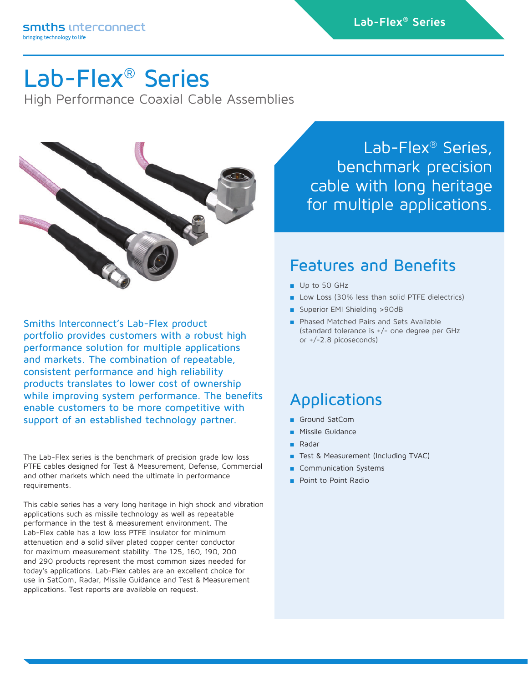## Lab-Flex® Series

High Performance Coaxial Cable Assemblies



Smiths Interconnect's Lab-Flex product portfolio provides customers with a robust high performance solution for multiple applications and markets. The combination of repeatable, consistent performance and high reliability products translates to lower cost of ownership while improving system performance. The benefits enable customers to be more competitive with support of an established technology partner.

The Lab-Flex series is the benchmark of precision grade low loss PTFE cables designed for Test & Measurement, Defense, Commercial and other markets which need the ultimate in performance requirements.

This cable series has a very long heritage in high shock and vibration applications such as missile technology as well as repeatable performance in the test & measurement environment. The Lab-Flex cable has a low loss PTFE insulator for minimum attenuation and a solid silver plated copper center conductor for maximum measurement stability. The 125, 160, 190, 200 and 290 products represent the most common sizes needed for today's applications. Lab-Flex cables are an excellent choice for use in SatCom, Radar, Missile Guidance and Test & Measurement applications. Test reports are available on request.

Lab-Flex® Series, benchmark precision cable with long heritage for multiple applications.

### Features and Benefits

- Up to 50 GHz
- Low Loss (30% less than solid PTFE dielectrics)
- Superior EMI Shielding >90dB
- Phased Matched Pairs and Sets Available (standard tolerance is +/- one degree per GHz or +/-2.8 picoseconds)

## Applications

- Ground SatCom
- Missile Guidance
- Radar
- Test & Measurement (Including TVAC)
- Communication Systems
- Point to Point Radio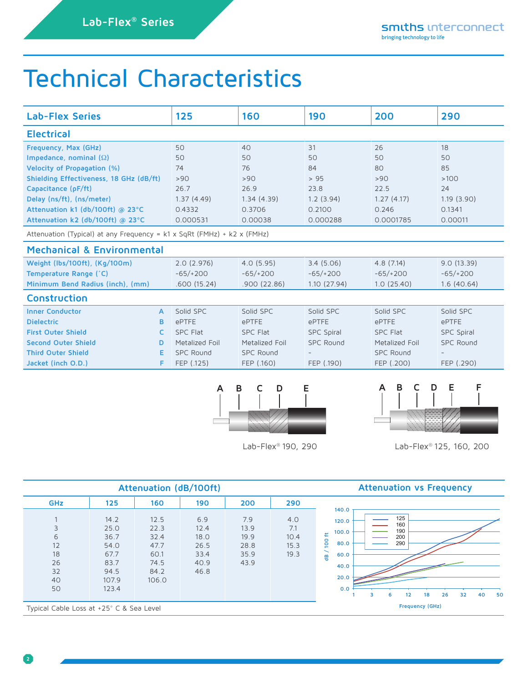## Technical Characteristics

| <b>Lab-Flex Series</b>                                                                | 125          | 160              | 190              | 200                       | 290              |                   |  |  |  |  |
|---------------------------------------------------------------------------------------|--------------|------------------|------------------|---------------------------|------------------|-------------------|--|--|--|--|
| <b>Electrical</b>                                                                     |              |                  |                  |                           |                  |                   |  |  |  |  |
| Frequency, Max (GHz)                                                                  |              |                  | 40               | 31                        | 26               | 18                |  |  |  |  |
| Impedance, nominal $(\Omega)$                                                         |              | 50               | 50               | 50                        | 50               | 50                |  |  |  |  |
| Velocity of Propagation (%)                                                           |              | 74               | 76               | 84                        | 80               | 85                |  |  |  |  |
| Shielding Effectiveness, 18 GHz (dB/ft)                                               |              | >90              | >90              | >95                       | >90              | >100              |  |  |  |  |
| Capacitance (pF/ft)                                                                   |              | 26.7             | 26.9             | 23.8                      | 22.5             | 24                |  |  |  |  |
| Delay (ns/ft), (ns/meter)                                                             |              |                  | 1.34(4.39)       | 1.2(3.94)                 | 1.27(4.17)       | 1.19(3.90)        |  |  |  |  |
| Attenuation k1 (db/100ft) @ 23°C                                                      |              | 0.4332           | 0.3706           | 0.2100                    | 0.246            | 0.1341            |  |  |  |  |
| Attenuation k2 (db/100ft) @ 23°C                                                      |              | 0.000531         | 0.00038          | 0.000288                  | 0.0001785        | 0.00011           |  |  |  |  |
| Attenuation (Typical) at any Frequency = $k1 \times SQRt$ (FMHz) + $k2 \times (FMHz)$ |              |                  |                  |                           |                  |                   |  |  |  |  |
| <b>Mechanical &amp; Environmental</b>                                                 |              |                  |                  |                           |                  |                   |  |  |  |  |
| Weight (lbs/100ft), (Kg/100m)                                                         |              | 2.0(2.976)       | 4.0(5.95)        | 3.4(5.06)                 | 4.8(7.14)        | 9.0(13.39)        |  |  |  |  |
| Temperature Range (°C)                                                                |              | $-65/+200$       | $-65/+200$       | $-65/+200$                | $-65/+200$       | $-65/+200$        |  |  |  |  |
| Minimum Bend Radius (inch), (mm)                                                      |              | .600(15.24)      | .900(22.86)      | 1.10(27.94)<br>1.0(25.40) |                  | 1.6(40.64)        |  |  |  |  |
| <b>Construction</b>                                                                   |              |                  |                  |                           |                  |                   |  |  |  |  |
| <b>Inner Conductor</b>                                                                | $\mathsf{A}$ | Solid SPC        | Solid SPC        | Solid SPC                 | Solid SPC        | Solid SPC         |  |  |  |  |
| <b>Dielectric</b>                                                                     | B            | ePTFE            | <b>ePTFE</b>     | ePTFE                     | ePTFE            | ePTFE             |  |  |  |  |
| <b>First Outer Shield</b>                                                             | c            | <b>SPC Flat</b>  | <b>SPC Flat</b>  | <b>SPC Spiral</b>         | <b>SPC Flat</b>  | <b>SPC Spiral</b> |  |  |  |  |
| <b>Second Outer Shield</b>                                                            | D            | Metalized Foil   | Metalized Foil   | <b>SPC Round</b>          | Metalized Foil   | <b>SPC Round</b>  |  |  |  |  |
| <b>Third Outer Shield</b>                                                             | Е            | <b>SPC Round</b> | <b>SPC Round</b> |                           | <b>SPC Round</b> |                   |  |  |  |  |
| Jacket (inch O.D.)                                                                    | F            | FEP (.125)       | FEP (.160)       | FEP (.190)                | FEP (.200)       | FEP (.290)        |  |  |  |  |



Lab-Flex® 190, 290



Lab-Flex® 125, 160, 200

|                                            |                                                                        | Attenuation (dB/100ft)                                        | <b>Attenuation vs Frequency</b>                     |                                             |                                    |                                                                                                                                                                               |
|--------------------------------------------|------------------------------------------------------------------------|---------------------------------------------------------------|-----------------------------------------------------|---------------------------------------------|------------------------------------|-------------------------------------------------------------------------------------------------------------------------------------------------------------------------------|
| <b>GHz</b>                                 | 125                                                                    | 160                                                           | 190                                                 | 200                                         | 290                                |                                                                                                                                                                               |
| 3<br>6<br>12<br>18<br>26<br>32<br>40<br>50 | 14.2<br>25.0<br>36.7<br>54.0<br>67.7<br>83.7<br>94.5<br>107.9<br>123.4 | 12.5<br>22.3<br>32.4<br>47.7<br>60.1<br>74.5<br>84.2<br>106.0 | 6.9<br>12.4<br>18.0<br>26.5<br>33.4<br>40.9<br>46.8 | 7.9<br>13.9<br>19.9<br>28.8<br>35.9<br>43.9 | 4.0<br>7.1<br>10.4<br>15.3<br>19.3 | 140.0<br>125<br>120.0<br>160<br>190<br>100.0<br>£<br>200<br>$\overline{100}$<br>290<br>80.0<br>60.0<br>쁭<br>40.0<br>20.0<br>0.0<br>32<br>18<br>26<br>40<br>50<br>12<br>3<br>6 |
| Typical Cable Loss at +25° C & Sea Level   |                                                                        |                                                               | <b>Frequency (GHz)</b>                              |                                             |                                    |                                                                                                                                                                               |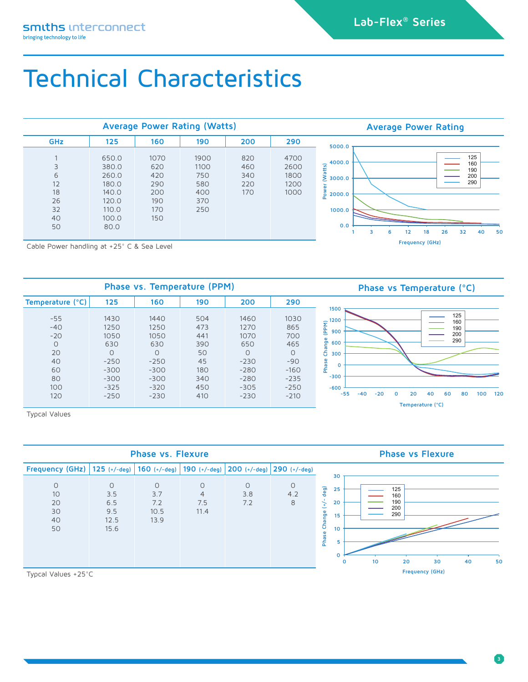## Technical Characteristics

|                                                            |                                                                              | <b>Average Power Rating (Watts)</b>                   | <b>Average Power Rating</b>                     |                                 |                                      |                                                                                                                                                   |
|------------------------------------------------------------|------------------------------------------------------------------------------|-------------------------------------------------------|-------------------------------------------------|---------------------------------|--------------------------------------|---------------------------------------------------------------------------------------------------------------------------------------------------|
| <b>GHz</b>                                                 | 125                                                                          | 160                                                   | 190                                             | 200                             | 290                                  | 5000.0                                                                                                                                            |
| 3<br>6<br>12<br>18<br>26<br>32<br>40<br>50                 | 650.0<br>380.0<br>260.0<br>180.0<br>140.0<br>120.0<br>110.0<br>100.0<br>80.0 | 1070<br>620<br>420<br>290<br>200<br>190<br>170<br>150 | 1900<br>1100<br>750<br>580<br>400<br>370<br>250 | 820<br>460<br>340<br>220<br>170 | 4700<br>2600<br>1800<br>1200<br>1000 | 125<br>4000.0<br>160<br>atts)<br>190<br>200<br>$\geq$ 3000.0<br>290<br>2000.0<br>ō<br>1000.0<br>0.0<br>26<br>32<br>50<br>12<br>18<br>40<br>з<br>h |
| $C = \begin{bmatrix} 1 & 0 & 0 \\ 0 & 0 & 0 \end{bmatrix}$ |                                                                              |                                                       |                                                 |                                 |                                      | <b>Frequency (GHz)</b>                                                                                                                            |

Cable Power handling at +25° C & Sea Level



Typcal Values

| <b>Phase vs. Flexure</b>              |                                               |                                       |                                          |                       |                     |                                                                                       |              |                 |                                       | <b>Phase vs Flexure</b> |    |    |
|---------------------------------------|-----------------------------------------------|---------------------------------------|------------------------------------------|-----------------------|---------------------|---------------------------------------------------------------------------------------|--------------|-----------------|---------------------------------------|-------------------------|----|----|
| Frequency (GHz)                       | $125$ (+/-deg)                                |                                       | 160 $(+/-$ deg) 190 $(+/-$ deg)          | $ 200 (+/- deg) $     | $ 290 (+/- deg) $   | 30                                                                                    |              |                 |                                       |                         |    |    |
| $\circ$<br>10<br>20<br>30<br>40<br>50 | $\Omega$<br>3.5<br>6.5<br>9.5<br>12.5<br>15.6 | $\circ$<br>3.7<br>7.2<br>10.5<br>13.9 | $\circ$<br>$\overline{4}$<br>7.5<br>11.4 | $\circ$<br>3.8<br>7.2 | $\circ$<br>4.2<br>8 | deg)<br>25<br>20<br>Ŧ<br>$\overline{\phantom{0}}$<br>Change<br>15<br>10<br>Phase<br>ь | $\mathbf{O}$ | 10 <sup>°</sup> | 125<br>160<br>190<br>200<br>290<br>20 | 30                      | 40 | 50 |
| Typeal Values $+25\degree$ C          |                                               |                                       |                                          |                       |                     |                                                                                       |              |                 |                                       | <b>Frequency (GHz)</b>  |    |    |

Typcal Values +25°C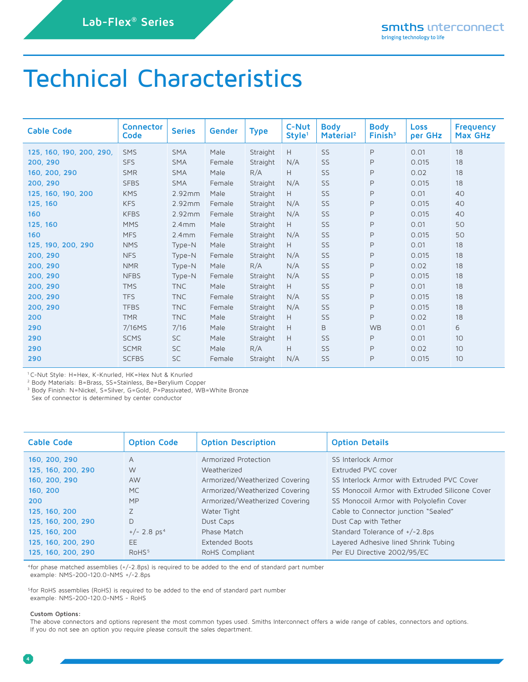## Technical Characteristics

| <b>Cable Code</b>        | <b>Connector</b><br>Code | <b>Series</b> | Gender | <b>Type</b> | C-Nut<br>Style <sup>1</sup> | <b>Body</b><br>Material <sup>2</sup> | <b>Body</b><br>$F$ inish $3$ | <b>Loss</b><br>per GHz | <b>Frequency</b><br>Max GHz |
|--------------------------|--------------------------|---------------|--------|-------------|-----------------------------|--------------------------------------|------------------------------|------------------------|-----------------------------|
| 125, 160, 190, 200, 290, | SMS                      | <b>SMA</b>    | Male   | Straight    | Н                           | SS                                   | $\mathsf{P}$                 | 0.01                   | 18                          |
| 200, 290                 | <b>SFS</b>               | <b>SMA</b>    | Female | Straight    | N/A                         | SS                                   | $\mathsf P$                  | 0.015                  | 18                          |
| 160, 200, 290            | <b>SMR</b>               | <b>SMA</b>    | Male   | R/A         | H                           | SS                                   | $\mathsf{P}$                 | 0.02                   | 18                          |
| 200, 290                 | <b>SFBS</b>              | <b>SMA</b>    | Female | Straight    | N/A                         | SS                                   | P                            | 0.015                  | 18                          |
| 125, 160, 190, 200       | <b>KMS</b>               | 2.92mm        | Male   | Straight    | H                           | SS                                   | $\mathsf P$                  | 0.01                   | 40                          |
| 125, 160                 | <b>KFS</b>               | 2.92mm        | Female | Straight    | N/A                         | SS                                   | $\mathsf P$                  | 0.015                  | 40                          |
| 160                      | <b>KFBS</b>              | 2.92mm        | Female | Straight    | N/A                         | SS                                   | $\mathsf P$                  | 0.015                  | 40                          |
| 125, 160                 | <b>MMS</b>               | 2.4mm         | Male   | Straight    | H                           | SS                                   | P                            | 0.01                   | 50                          |
| 160                      | <b>MFS</b>               | 2.4mm         | Female | Straight    | N/A                         | SS                                   | P                            | 0.015                  | 50                          |
| 125, 190, 200, 290       | <b>NMS</b>               | Type-N        | Male   | Straight    | H                           | SS                                   | $\mathsf{P}$                 | 0.01                   | 18                          |
| 200, 290                 | <b>NFS</b>               | Type-N        | Female | Straight    | N/A                         | SS                                   | $\mathsf P$                  | 0.015                  | 18                          |
| 200, 290                 | <b>NMR</b>               | Type-N        | Male   | R/A         | N/A                         | SS                                   | $\mathsf{P}$                 | 0.02                   | 18                          |
| 200, 290                 | <b>NFBS</b>              | Type-N        | Female | Straight    | N/A                         | SS                                   | P                            | 0.015                  | 18                          |
| 200, 290                 | <b>TMS</b>               | <b>TNC</b>    | Male   | Straight    | H                           | SS                                   | P                            | 0.01                   | 18                          |
| 200, 290                 | <b>TFS</b>               | <b>TNC</b>    | Female | Straight    | N/A                         | SS                                   | $\mathsf{P}$                 | 0.015                  | 18                          |
| 200, 290                 | <b>TFBS</b>              | <b>TNC</b>    | Female | Straight    | N/A                         | SS                                   | P                            | 0.015                  | 18                          |
| 200                      | <b>TMR</b>               | <b>TNC</b>    | Male   | Straight    | Н                           | SS                                   | $\mathsf{P}$                 | 0.02                   | 18                          |
| 290                      | 7/16MS                   | 7/16          | Male   | Straight    | H                           | B                                    | <b>WB</b>                    | 0.01                   | 6                           |
| 290                      | <b>SCMS</b>              | <b>SC</b>     | Male   | Straight    | H                           | SS                                   | $\mathsf{P}$                 | 0.01                   | 10                          |
| 290                      | <b>SCMR</b>              | <b>SC</b>     | Male   | R/A         | H                           | SS                                   | $\mathsf P$                  | 0.02                   | 10                          |
| 290                      | <b>SCFBS</b>             | <b>SC</b>     | Female | Straight    | N/A                         | SS                                   | $\mathsf{P}$                 | 0.015                  | 10                          |

1 C-Nut Style: H=Hex, K-Knurled, HK=Hex Nut & Knurled

2 Body Materials: B=Brass, SS=Stainless, Be=Berylium Copper

<sup>3</sup> Body Finish: N=Nickel, S=Silver, G=Gold, P=Passivated, WB=White Bronze

Sex of connector is determined by center conductor

| <b>Cable Code</b>  | <b>Option Code</b>        | <b>Option Description</b>      | <b>Option Details</b>                          |
|--------------------|---------------------------|--------------------------------|------------------------------------------------|
| 160, 200, 290      | $\overline{A}$            | Armorized Protection           | SS Interlock Armor                             |
| 125, 160, 200, 290 | W                         | Weatherized                    | Extruded PVC cover                             |
| 160, 200, 290      | <b>AW</b>                 | Armorized/Weatherized Covering | SS Interlock Armor with Extruded PVC Cover     |
| 160, 200           | MC.                       | Armorized/Weatherized Covering | SS Monocoil Armor with Extruded Silicone Cover |
| 200                | <b>MP</b>                 | Armorized/Weatherized Covering | SS Monocoil Armor with Polyolefin Cover        |
| 125, 160, 200      | Z                         | Water Tight                    | Cable to Connector junction "Sealed"           |
| 125, 160, 200, 290 | D                         | Dust Caps                      | Dust Cap with Tether                           |
| 125, 160, 200      | $+/- 2.8$ ps <sup>4</sup> | Phase Match                    | Standard Tolerance of $+/-2.8$ ps              |
| 125, 160, 200, 290 | EE                        | Extended Boots                 | Layered Adhesive lined Shrink Tubing           |
| 125, 160, 200, 290 | RoHS <sup>5</sup>         | RoHS Compliant                 | Per EU Directive 2002/95/EC                    |

4for phase matched assemblies (+/-2.8ps) is required to be added to the end of standard part number example: NMS-200-120.0-NMS +/-2.8ps

<sup>5</sup>for RoHS assemblies (RoHS) is required to be added to the end of standard part number example: NMS-200-120.0-NMS - RoHS

#### **Custom Options:**

The above connectors and options represent the most common types used. Smiths Interconnect offers a wide range of cables, connectors and options. If you do not see an option you require please consult the sales department.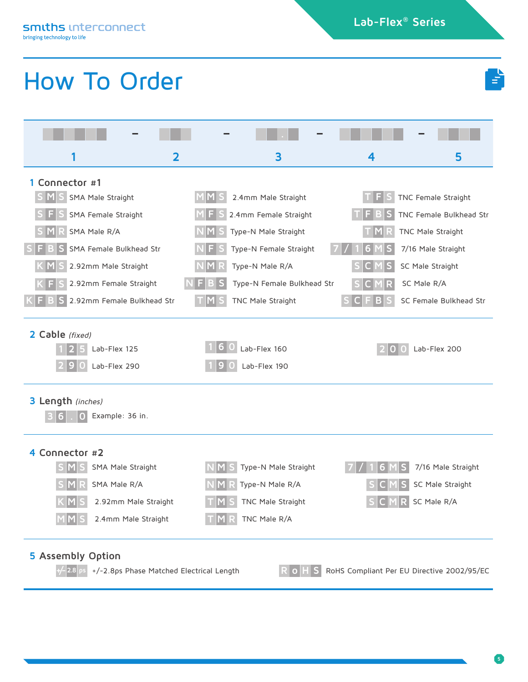**Lab-Flex® 100 Series Lab-Flex® Series**

## How To Order